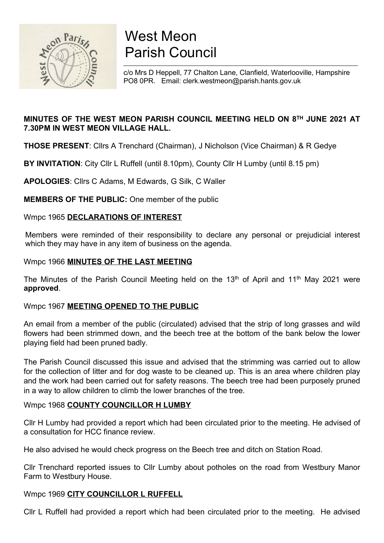

# West Meon Parish Council

c/o Mrs D Heppell, 77 Chalton Lane, Clanfield, Waterlooville, Hampshire PO8 0PR. Email: clerk.westmeon@parish.hants.gov.uk

# MINUTES OF THE WEST MEON PARISH COUNCIL MEETING HELD ON 8TH JUNE 2021 AT 7.30PM IN WEST MEON VILLAGE HALL.

THOSE PRESENT: Cllrs A Trenchard (Chairman), J Nicholson (Vice Chairman) & R Gedye

BY INVITATION: City Cllr L Ruffell (until 8.10pm), County Cllr H Lumby (until 8.15 pm)

APOLOGIES: Cllrs C Adams, M Edwards, G Silk, C Waller

MEMBERS OF THE PUBLIC: One member of the public

Wmpc 1965 DECLARATIONS OF INTEREST

Members were reminded of their responsibility to declare any personal or prejudicial interest which they may have in any item of business on the agenda.

# Wmpc 1966 MINUTES OF THE LAST MEETING

The Minutes of the Parish Council Meeting held on the 13<sup>th</sup> of April and 11<sup>th</sup> May 2021 were approved.

# Wmpc 1967 MEETING OPENED TO THE PUBLIC

An email from a member of the public (circulated) advised that the strip of long grasses and wild flowers had been strimmed down, and the beech tree at the bottom of the bank below the lower playing field had been pruned badly.

The Parish Council discussed this issue and advised that the strimming was carried out to allow for the collection of litter and for dog waste to be cleaned up. This is an area where children play and the work had been carried out for safety reasons. The beech tree had been purposely pruned in a way to allow children to climb the lower branches of the tree.

# Wmpc 1968 COUNTY COUNCILLOR H LUMBY

Cllr H Lumby had provided a report which had been circulated prior to the meeting. He advised of a consultation for HCC finance review.

He also advised he would check progress on the Beech tree and ditch on Station Road.

Cllr Trenchard reported issues to Cllr Lumby about potholes on the road from Westbury Manor Farm to Westbury House.

# Wmpc 1969 CITY COUNCILLOR L RUFFELL

Cllr L Ruffell had provided a report which had been circulated prior to the meeting. He advised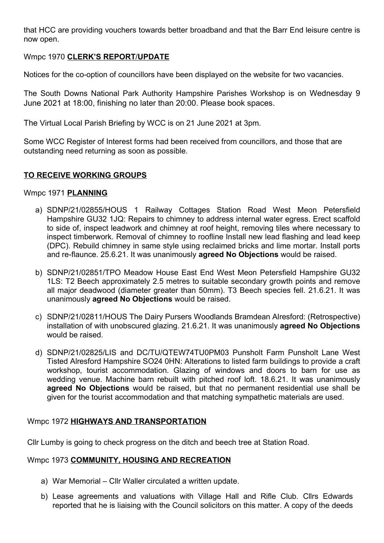that HCC are providing vouchers towards better broadband and that the Barr End leisure centre is now open.

## Wmpc 1970 CLERK'S REPORT/UPDATE

Notices for the co-option of councillors have been displayed on the website for two vacancies.

The South Downs National Park Authority Hampshire Parishes Workshop is on Wednesday 9 June 2021 at 18:00, finishing no later than 20:00. Please book spaces.

The Virtual Local Parish Briefing by WCC is on 21 June 2021 at 3pm.

Some WCC Register of Interest forms had been received from councillors, and those that are outstanding need returning as soon as possible.

## TO RECEIVE WORKING GROUPS

#### Wmpc 1971 PLANNING

- a) SDNP/21/02855/HOUS 1 Railway Cottages Station Road West Meon Petersfield Hampshire GU32 1JQ: Repairs to chimney to address internal water egress. Erect scaffold to side of, inspect leadwork and chimney at roof height, removing tiles where necessary to inspect timberwork. Removal of chimney to roofline Install new lead flashing and lead keep (DPC). Rebuild chimney in same style using reclaimed bricks and lime mortar. Install ports and re-flaunce. 25.6.21. It was unanimously agreed No Objections would be raised.
- b) SDNP/21/02851/TPO Meadow House East End West Meon Petersfield Hampshire GU32 1LS: T2 Beech approximately 2.5 metres to suitable secondary growth points and remove all major deadwood (diameter greater than 50mm). T3 Beech species fell. 21.6.21. It was unanimously agreed No Objections would be raised.
- c) SDNP/21/02811/HOUS The Dairy Pursers Woodlands Bramdean Alresford: (Retrospective) installation of with unobscured glazing. 21.6.21. It was unanimously **agreed No Objections** would be raised.
- d) SDNP/21/02825/LIS and DC/TU/QTEW74TU0PM03 Punsholt Farm Punsholt Lane West Tisted Alresford Hampshire SO24 0HN: Alterations to listed farm buildings to provide a craft workshop, tourist accommodation. Glazing of windows and doors to barn for use as wedding venue. Machine barn rebuilt with pitched roof loft. 18.6.21. It was unanimously agreed No Objections would be raised, but that no permanent residential use shall be given for the tourist accommodation and that matching sympathetic materials are used.

#### Wmpc 1972 HIGHWAYS AND TRANSPORTATION

Cllr Lumby is going to check progress on the ditch and beech tree at Station Road.

#### Wmpc 1973 COMMUNITY, HOUSING AND RECREATION

- a) War Memorial Cllr Waller circulated a written update.
- b) Lease agreements and valuations with Village Hall and Rifle Club. Cllrs Edwards reported that he is liaising with the Council solicitors on this matter. A copy of the deeds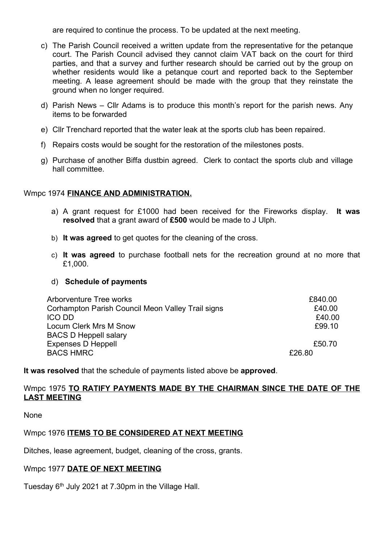are required to continue the process. To be updated at the next meeting.

- c) The Parish Council received a written update from the representative for the petanque court. The Parish Council advised they cannot claim VAT back on the court for third parties, and that a survey and further research should be carried out by the group on whether residents would like a petanque court and reported back to the September meeting. A lease agreement should be made with the group that they reinstate the ground when no longer required.
- d) Parish News Cllr Adams is to produce this month's report for the parish news. Any items to be forwarded
- e) Cllr Trenchard reported that the water leak at the sports club has been repaired.
- f) Repairs costs would be sought for the restoration of the milestones posts.
- g) Purchase of another Biffa dustbin agreed. Clerk to contact the sports club and village hall committee.

#### Wmpc 1974 FINANCE AND ADMINISTRATION.

- a) A grant request for  $£1000$  had been received for the Fireworks display. It was resolved that a grant award of £500 would be made to J Ulph.
- b) It was agreed to get quotes for the cleaning of the cross.
- c) It was agreed to purchase football nets for the recreation ground at no more that £1,000.

#### d) Schedule of payments

| Arborventure Tree works                           | £840.00 |
|---------------------------------------------------|---------|
| Corhampton Parish Council Meon Valley Trail signs | £40.00  |
| <b>ICO DD</b>                                     | £40.00  |
| Locum Clerk Mrs M Snow                            | £99.10  |
| <b>BACS D Heppell salary</b>                      |         |
| <b>Expenses D Heppell</b>                         | £50.70  |
| <b>BACS HMRC</b>                                  | £26.80  |

It was resolved that the schedule of payments listed above be approved.

#### Wmpc 1975 TO RATIFY PAYMENTS MADE BY THE CHAIRMAN SINCE THE DATE OF THE LAST MEETING

None

#### Wmpc 1976 ITEMS TO BE CONSIDERED AT NEXT MEETING

Ditches, lease agreement, budget, cleaning of the cross, grants.

#### Wmpc 1977 DATE OF NEXT MEETING

Tuesday  $6<sup>th</sup>$  July 2021 at 7.30pm in the Village Hall.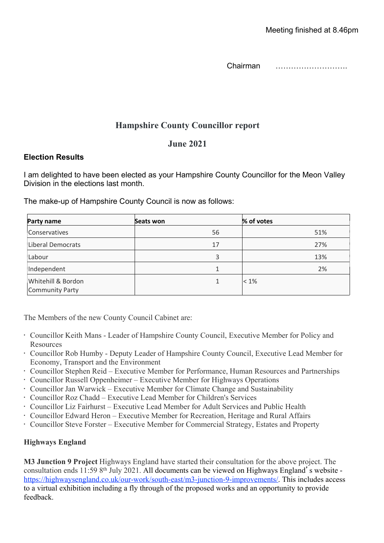Chairman ……………………….

# Hampshire County Councillor report

# June 2021

# Election Results

I am delighted to have been elected as your Hampshire County Councillor for the Meon Valley Division in the elections last month.

The make-up of Hampshire County Council is now as follows:

| Party name                                   | Seats won | % of votes |
|----------------------------------------------|-----------|------------|
| Conservatives                                | 56        | 51%        |
| Liberal Democrats                            | 17        | 27%        |
| Labour                                       | 3         | 13%        |
| Independent                                  | 1         | 2%         |
| Whitehill & Bordon<br><b>Community Party</b> | 1         | $< 1\%$    |

The Members of the new County Council Cabinet are:

- Councillor Keith Mans Leader of Hampshire County Council, Executive Member for Policy and Resources
- Councillor Rob Humby Deputy Leader of Hampshire County Council, Executive Lead Member for Economy, Transport and the Environment
- Councillor Stephen Reid Executive Member for Performance, Human Resources and Partnerships
- Councillor Russell Oppenheimer Executive Member for Highways Operations
- Councillor Jan Warwick Executive Member for Climate Change and Sustainability
- Councillor Roz Chadd Executive Lead Member for Children's Services
- Councillor Liz Fairhurst Executive Lead Member for Adult Services and Public Health
- Councillor Edward Heron Executive Member for Recreation, Heritage and Rural Affairs
- Councillor Steve Forster Executive Member for Commercial Strategy, Estates and Property

# Highways England

M3 Junction 9 Project Highways England have started their consultation for the above project. The consultation ends 11:59 8th July 2021. All documents can be viewed on Highways England's website https://highwaysengland.co.uk/our-work/south-east/m3-junction-9-improvements/. This includes access to a virtual exhibition including a fly through of the proposed works and an opportunity to provide feedback.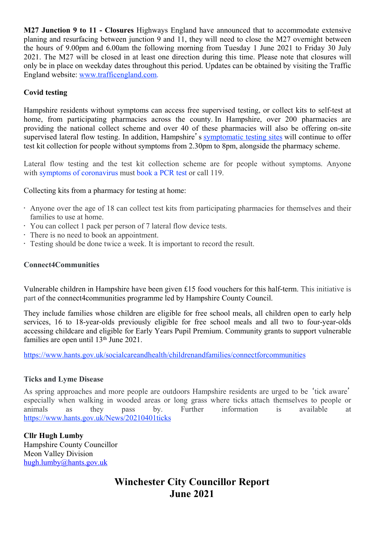M27 Junction 9 to 11 - Closures Highways England have announced that to accommodate extensive planing and resurfacing between junction 9 and 11, they will need to close the M27 overnight between the hours of 9.00pm and 6.00am the following morning from Tuesday 1 June 2021 to Friday 30 July 2021. The M27 will be closed in at least one direction during this time. Please note that closures will only be in place on weekday dates throughout this period. Updates can be obtained by visiting the Traffic England website: www.trafficengland.com.

# Covid testing

Hampshire residents without symptoms can access free supervised testing, or collect kits to self-test at home, from participating pharmacies across the county. In Hampshire, over 200 pharmacies are providing the national collect scheme and over 40 of these pharmacies will also be offering on-site supervised lateral flow testing. In addition, Hampshire's symptomatic testing sites will continue to offer test kit collection for people without symptoms from 2.30pm to 8pm, alongside the pharmacy scheme.

Lateral flow testing and the test kit collection scheme are for people without symptoms. Anyone with symptoms of coronavirus must book a PCR test or call 119.

Collecting kits from a pharmacy for testing at home:

- Anyone over the age of 18 can collect test kits from participating pharmacies for themselves and their families to use at home.
- You can collect 1 pack per person of 7 lateral flow device tests.
- There is no need to book an appointment.
- Testing should be done twice a week. It is important to record the result.

## Connect4Communities

Vulnerable children in Hampshire have been given £15 food vouchers for this half-term. This initiative is part of the connect4communities programme led by Hampshire County Council.

They include families whose children are eligible for free school meals, all children open to early help services, 16 to 18-year-olds previously eligible for free school meals and all two to four-year-olds accessing childcare and eligible for Early Years Pupil Premium. Community grants to support vulnerable families are open until 13<sup>th</sup> June 2021.

https://www.hants.gov.uk/socialcareandhealth/childrenandfamilies/connectforcommunities

#### Ticks and Lyme Disease

As spring approaches and more people are outdoors Hampshire residents are urged to be 'tick aware' especially when walking in wooded areas or long grass where ticks attach themselves to people or animals as they pass by. Further information is available at https://www.hants.gov.uk/News/20210401ticks

Cllr Hugh Lumby Hampshire County Councillor Meon Valley Division hugh.lumby@hants.gov.uk

# Winchester City Councillor Report June 2021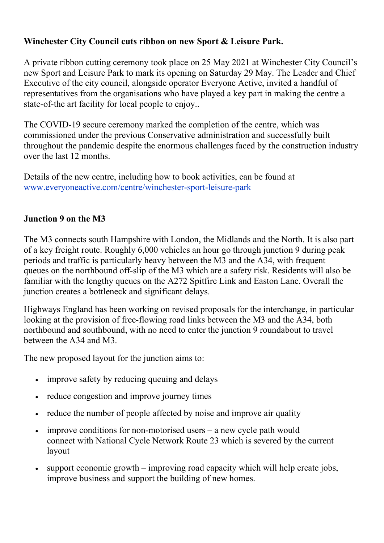# Winchester City Council cuts ribbon on new Sport & Leisure Park.

A private ribbon cutting ceremony took place on 25 May 2021 at Winchester City Council's new Sport and Leisure Park to mark its opening on Saturday 29 May. The Leader and Chief Executive of the city council, alongside operator Everyone Active, invited a handful of representatives from the organisations who have played a key part in making the centre a state-of-the art facility for local people to enjoy..

The COVID-19 secure ceremony marked the completion of the centre, which was commissioned under the previous Conservative administration and successfully built throughout the pandemic despite the enormous challenges faced by the construction industry over the last 12 months.

Details of the new centre, including how to book activities, can be found at www.everyoneactive.com/centre/winchester-sport-leisure-park

# Junction 9 on the M3

The M3 connects south Hampshire with London, the Midlands and the North. It is also part of a key freight route. Roughly 6,000 vehicles an hour go through junction 9 during peak periods and traffic is particularly heavy between the M3 and the A34, with frequent queues on the northbound off-slip of the M3 which are a safety risk. Residents will also be familiar with the lengthy queues on the A272 Spitfire Link and Easton Lane. Overall the junction creates a bottleneck and significant delays.

Highways England has been working on revised proposals for the interchange, in particular looking at the provision of free-flowing road links between the M3 and the A34, both northbound and southbound, with no need to enter the junction 9 roundabout to travel between the A34 and M3.

The new proposed layout for the junction aims to:

- improve safety by reducing queuing and delays
- reduce congestion and improve journey times
- reduce the number of people affected by noise and improve air quality
- $\bullet$  improve conditions for non-motorised users a new cycle path would connect with National Cycle Network Route 23 which is severed by the current layout
- support economic growth improving road capacity which will help create jobs, improve business and support the building of new homes.